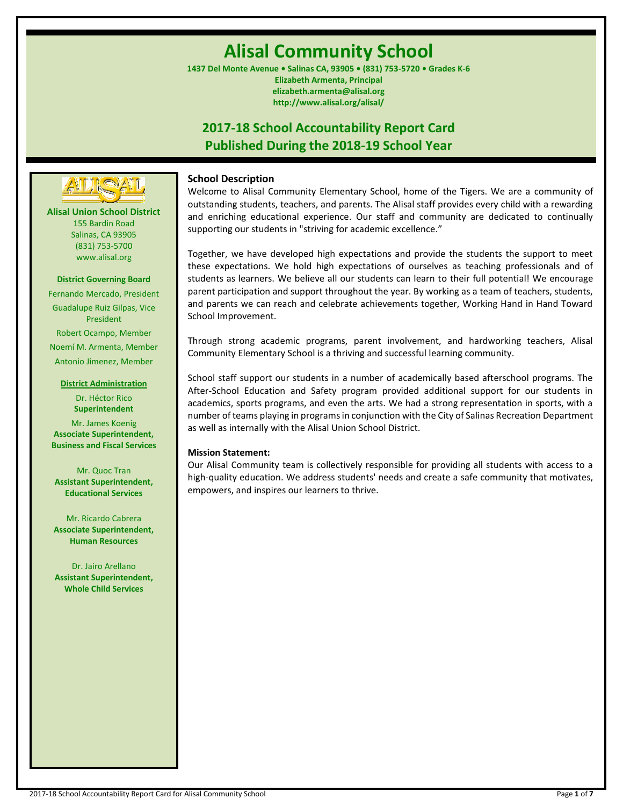# **Alisal Community School**

**1437 Del Monte Avenue • Salinas CA, 93905 • (831) 753-5720 • Grades K-6 Elizabeth Armenta, Principal elizabeth.armenta@alisal.org http://www.alisal.org/alisal/**

## **2017-18 School Accountability Report Card Published During the 2018-19 School Year**



**Alisal Union School District** 155 Bardin Road Salinas, CA 93905 (831) 753-5700 www.alisal.org

#### **District Governing Board**

Fernando Mercado, President Guadalupe Ruiz Gilpas, Vice President Robert Ocampo, Member Noemí M. Armenta, Member Antonio Jimenez, Member

#### **District Administration**

Dr. Héctor Rico **Superintendent** Mr. James Koenig **Associate Superintendent, Business and Fiscal Services**

Mr. Quoc Tran **Assistant Superintendent, Educational Services**

Mr. Ricardo Cabrera **Associate Superintendent, Human Resources**

Dr. Jairo Arellano **Assistant Superintendent, Whole Child Services**

## **School Description**

Welcome to Alisal Community Elementary School, home of the Tigers. We are a community of outstanding students, teachers, and parents. The Alisal staff provides every child with a rewarding and enriching educational experience. Our staff and community are dedicated to continually supporting our students in "striving for academic excellence."

Together, we have developed high expectations and provide the students the support to meet these expectations. We hold high expectations of ourselves as teaching professionals and of students as learners. We believe all our students can learn to their full potential! We encourage parent participation and support throughout the year. By working as a team of teachers, students, and parents we can reach and celebrate achievements together, Working Hand in Hand Toward School Improvement.

Through strong academic programs, parent involvement, and hardworking teachers, Alisal Community Elementary School is a thriving and successful learning community.

School staff support our students in a number of academically based afterschool programs. The After-School Education and Safety program provided additional support for our students in academics, sports programs, and even the arts. We had a strong representation in sports, with a number of teams playing in programs in conjunction with the City of Salinas Recreation Department as well as internally with the Alisal Union School District.

## **Mission Statement:**

Our Alisal Community team is collectively responsible for providing all students with access to a high-quality education. We address students' needs and create a safe community that motivates, empowers, and inspires our learners to thrive.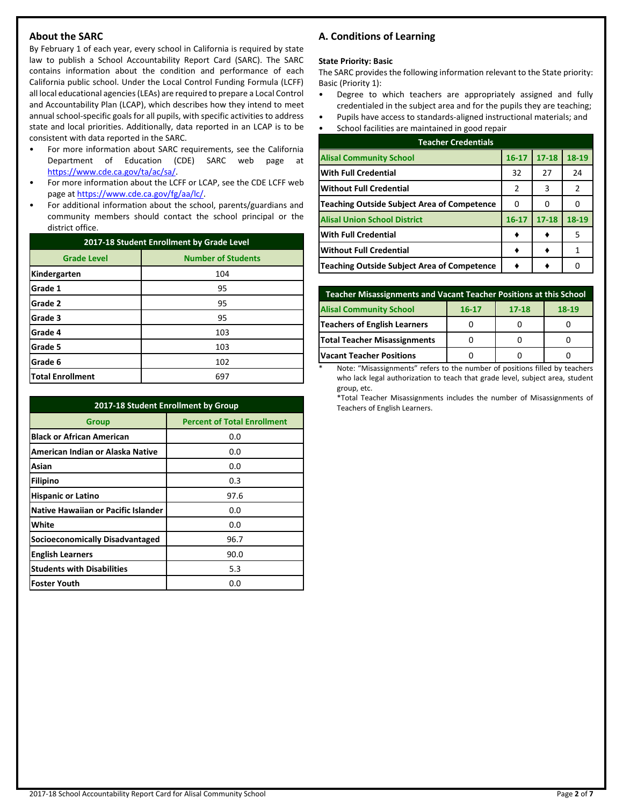## **About the SARC**

By February 1 of each year, every school in California is required by state law to publish a School Accountability Report Card (SARC). The SARC contains information about the condition and performance of each California public school. Under the Local Control Funding Formula (LCFF) all local educational agencies (LEAs) are required to prepare a Local Control and Accountability Plan (LCAP), which describes how they intend to meet annual school-specific goals for all pupils, with specific activities to address state and local priorities. Additionally, data reported in an LCAP is to be consistent with data reported in the SARC.

- For more information about SARC requirements, see the California Department of Education (CDE) SARC web page at [https://www.cde.ca.gov/ta/ac/sa/.](https://www.cde.ca.gov/ta/ac/sa/)
- For more information about the LCFF or LCAP, see the CDE LCFF web page at [https://www.cde.ca.gov/fg/aa/lc/.](https://www.cde.ca.gov/fg/aa/lc/)
- For additional information about the school, parents/guardians and community members should contact the school principal or the district office.

| 2017-18 Student Enrollment by Grade Level |                           |  |  |
|-------------------------------------------|---------------------------|--|--|
| <b>Grade Level</b>                        | <b>Number of Students</b> |  |  |
| Kindergarten                              | 104                       |  |  |
| Grade 1                                   | 95                        |  |  |
| Grade 2                                   | 95                        |  |  |
| Grade 3                                   | 95                        |  |  |
| Grade 4                                   | 103                       |  |  |
| Grade 5                                   | 103                       |  |  |
| Grade 6                                   | 102                       |  |  |
| <b>Total Enrollment</b>                   | 697                       |  |  |

| 2017-18 Student Enrollment by Group        |                                    |  |  |  |
|--------------------------------------------|------------------------------------|--|--|--|
| <b>Group</b>                               | <b>Percent of Total Enrollment</b> |  |  |  |
| <b>Black or African American</b>           | 0.0                                |  |  |  |
| American Indian or Alaska Native           | 0.0                                |  |  |  |
| Asian                                      | 0.0                                |  |  |  |
| Filipino                                   | 0.3                                |  |  |  |
| <b>Hispanic or Latino</b>                  | 97.6                               |  |  |  |
| <b>Native Hawaiian or Pacific Islander</b> | 0.0                                |  |  |  |
| White                                      | 0.0                                |  |  |  |
| <b>Socioeconomically Disadvantaged</b>     | 96.7                               |  |  |  |
| <b>English Learners</b>                    | 90.0                               |  |  |  |
| <b>Students with Disabilities</b>          | 5.3                                |  |  |  |
| <b>Foster Youth</b>                        | 0.0                                |  |  |  |

## **A. Conditions of Learning**

#### **State Priority: Basic**

The SARC provides the following information relevant to the State priority: Basic (Priority 1):

- Degree to which teachers are appropriately assigned and fully credentialed in the subject area and for the pupils they are teaching;
- Pupils have access to standards-aligned instructional materials; and

| School facilities are maintained in good repair    |           |           |               |  |  |  |
|----------------------------------------------------|-----------|-----------|---------------|--|--|--|
| <b>Teacher Credentials</b>                         |           |           |               |  |  |  |
| <b>Alisal Community School</b>                     | $16 - 17$ | $17 - 18$ | 18-19         |  |  |  |
| <b>With Full Credential</b>                        | 32        | 27        | 24            |  |  |  |
| <b>Without Full Credential</b>                     | 2         | 3         | $\mathcal{P}$ |  |  |  |
| <b>Teaching Outside Subject Area of Competence</b> | 0         | O         |               |  |  |  |
| <b>Alisal Union School District</b>                | $16 - 17$ | $17 - 18$ | 18-19         |  |  |  |
| <b>With Full Credential</b>                        |           |           | 5             |  |  |  |
| <b>Without Full Credential</b>                     |           |           |               |  |  |  |

| Teacher Misassignments and Vacant Teacher Positions at this School |           |           |       |  |  |
|--------------------------------------------------------------------|-----------|-----------|-------|--|--|
| <b>Alisal Community School</b>                                     | $16 - 17$ | $17 - 18$ | 18-19 |  |  |
| <b>Teachers of English Learners</b>                                |           |           |       |  |  |
| Total Teacher Misassignments                                       |           |           |       |  |  |
| <b>Vacant Teacher Positions</b>                                    |           |           |       |  |  |

**Teaching Outside Subject Area of Competence ♦ ♦** 0

Note: "Misassignments" refers to the number of positions filled by teachers who lack legal authorization to teach that grade level, subject area, student group, etc.

\*Total Teacher Misassignments includes the number of Misassignments of Teachers of English Learners.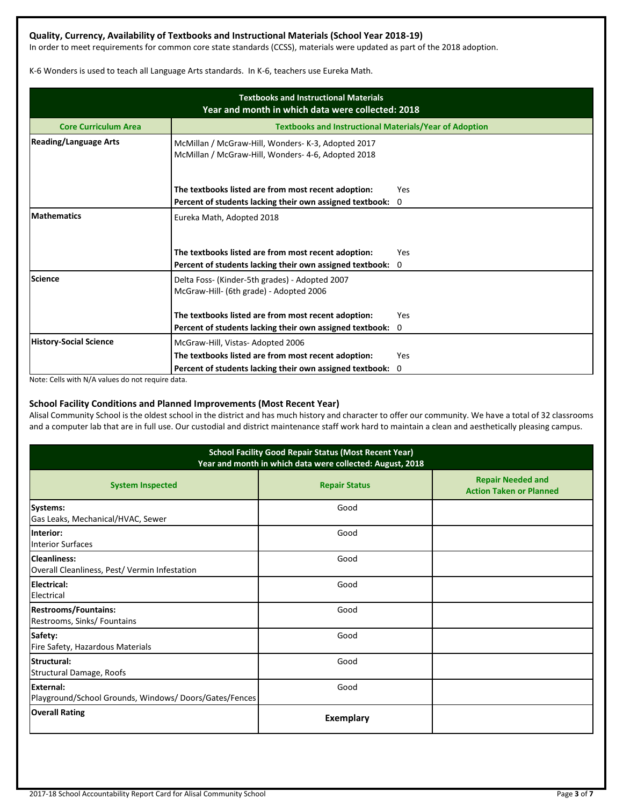## **Quality, Currency, Availability of Textbooks and Instructional Materials (School Year 2018-19)**

In order to meet requirements for common core state standards (CCSS), materials were updated as part of the 2018 adoption.

K-6 Wonders is used to teach all Language Arts standards. In K-6, teachers use Eureka Math.

| <b>Textbooks and Instructional Materials</b><br>Year and month in which data were collected: 2018 |                                                                                                          |            |  |  |  |
|---------------------------------------------------------------------------------------------------|----------------------------------------------------------------------------------------------------------|------------|--|--|--|
| <b>Core Curriculum Area</b>                                                                       | <b>Textbooks and Instructional Materials/Year of Adoption</b>                                            |            |  |  |  |
| <b>Reading/Language Arts</b>                                                                      | McMillan / McGraw-Hill, Wonders- K-3, Adopted 2017<br>McMillan / McGraw-Hill, Wonders- 4-6, Adopted 2018 |            |  |  |  |
|                                                                                                   | The textbooks listed are from most recent adoption:                                                      | <b>Yes</b> |  |  |  |
|                                                                                                   | Percent of students lacking their own assigned textbook: 0                                               |            |  |  |  |
| <b>Mathematics</b>                                                                                | Eureka Math, Adopted 2018                                                                                |            |  |  |  |
|                                                                                                   | The textbooks listed are from most recent adoption:                                                      | Yes        |  |  |  |
|                                                                                                   | Percent of students lacking their own assigned textbook:                                                 | $\Omega$   |  |  |  |
| Science                                                                                           | Delta Foss- (Kinder-5th grades) - Adopted 2007<br>McGraw-Hill- (6th grade) - Adopted 2006                |            |  |  |  |
|                                                                                                   | The textbooks listed are from most recent adoption:                                                      | <b>Yes</b> |  |  |  |
|                                                                                                   | Percent of students lacking their own assigned textbook:                                                 | 0          |  |  |  |
| <b>History-Social Science</b>                                                                     | McGraw-Hill, Vistas-Adopted 2006                                                                         |            |  |  |  |
|                                                                                                   | The textbooks listed are from most recent adoption:                                                      | Yes        |  |  |  |
|                                                                                                   | Percent of students lacking their own assigned textbook:                                                 | 0          |  |  |  |

Note: Cells with N/A values do not require data.

## **School Facility Conditions and Planned Improvements (Most Recent Year)**

Alisal Community School is the oldest school in the district and has much history and character to offer our community. We have a total of 32 classrooms and a computer lab that are in full use. Our custodial and district maintenance staff work hard to maintain a clean and aesthetically pleasing campus.

| <b>School Facility Good Repair Status (Most Recent Year)</b><br>Year and month in which data were collected: August, 2018 |                      |                                                            |  |  |  |
|---------------------------------------------------------------------------------------------------------------------------|----------------------|------------------------------------------------------------|--|--|--|
| <b>System Inspected</b>                                                                                                   | <b>Repair Status</b> | <b>Repair Needed and</b><br><b>Action Taken or Planned</b> |  |  |  |
| Systems:<br>Gas Leaks, Mechanical/HVAC, Sewer                                                                             | Good                 |                                                            |  |  |  |
| Interior:<br><b>Interior Surfaces</b>                                                                                     | Good                 |                                                            |  |  |  |
| Cleanliness:<br>Overall Cleanliness, Pest/ Vermin Infestation                                                             | Good                 |                                                            |  |  |  |
| Electrical:<br>Electrical                                                                                                 | Good                 |                                                            |  |  |  |
| <b>Restrooms/Fountains:</b><br>Restrooms, Sinks/ Fountains                                                                | Good                 |                                                            |  |  |  |
| Safety:<br>Fire Safety, Hazardous Materials                                                                               | Good                 |                                                            |  |  |  |
| Structural:<br>Structural Damage, Roofs                                                                                   | Good                 |                                                            |  |  |  |
| <b>IExternal:</b><br>Playground/School Grounds, Windows/Doors/Gates/Fences                                                | Good                 |                                                            |  |  |  |
| <b>Overall Rating</b>                                                                                                     | <b>Exemplary</b>     |                                                            |  |  |  |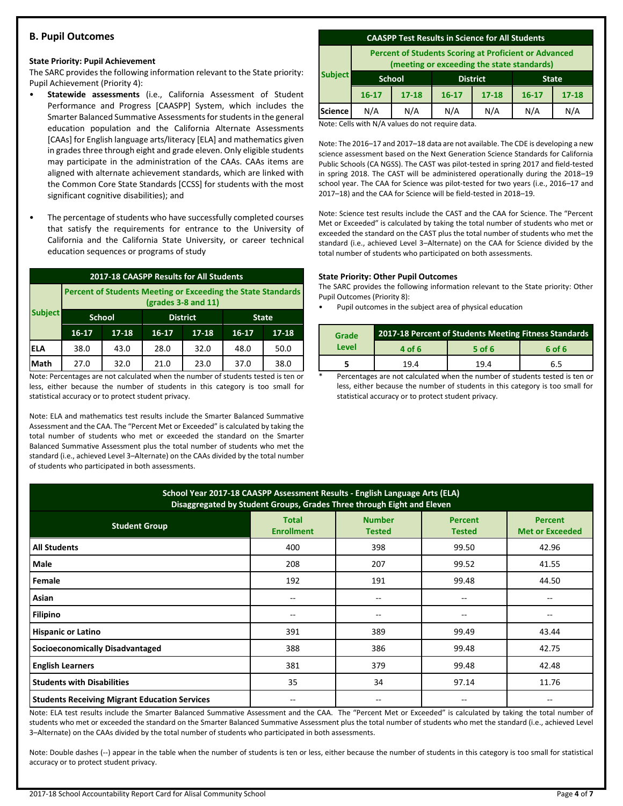## **B. Pupil Outcomes**

#### **State Priority: Pupil Achievement**

The SARC provides the following information relevant to the State priority: Pupil Achievement (Priority 4):

- **Statewide assessments** (i.e., California Assessment of Student Performance and Progress [CAASPP] System, which includes the Smarter Balanced Summative Assessments for students in the general education population and the California Alternate Assessments [CAAs] for English language arts/literacy [ELA] and mathematics given in grades three through eight and grade eleven. Only eligible students may participate in the administration of the CAAs. CAAs items are aligned with alternate achievement standards, which are linked with the Common Core State Standards [CCSS] for students with the most significant cognitive disabilities); and
- The percentage of students who have successfully completed courses that satisfy the requirements for entrance to the University of California and the California State University, or career technical education sequences or programs of study

| 2017-18 CAASPP Results for All Students                                               |               |           |                 |           |              |           |
|---------------------------------------------------------------------------------------|---------------|-----------|-----------------|-----------|--------------|-----------|
| Percent of Students Meeting or Exceeding the State Standards<br>$(grades 3-8 and 11)$ |               |           |                 |           |              |           |
| <b>Subject</b>                                                                        | <b>School</b> |           | <b>District</b> |           | <b>State</b> |           |
|                                                                                       | $16 - 17$     | $17 - 18$ | $16 - 17$       | $17 - 18$ | $16-17$      | $17 - 18$ |
| IELA                                                                                  | 38.0          | 43.0      | 28.0            | 32.0      | 48.0         | 50.0      |
| Math                                                                                  | 27.0          | 32.0      | 21.0            | 23.0      | 37.0         | 38.0      |

Note: Percentages are not calculated when the number of students tested is ten or less, either because the number of students in this category is too small for statistical accuracy or to protect student privacy.

Note: ELA and mathematics test results include the Smarter Balanced Summative Assessment and the CAA. The "Percent Met or Exceeded" is calculated by taking the total number of students who met or exceeded the standard on the Smarter Balanced Summative Assessment plus the total number of students who met the standard (i.e., achieved Level 3–Alternate) on the CAAs divided by the total number of students who participated in both assessments.

#### **CAASPP Test Results in Science for All Students**

**Percent of Students Scoring at Proficient or Advanced (meeting or exceeding the state standards)**

| meeting or executing the state standards,<br><b>Subject</b> |           |                 |           |           |              |
|-------------------------------------------------------------|-----------|-----------------|-----------|-----------|--------------|
|                                                             |           | <b>District</b> |           |           | <b>State</b> |
| $16 - 17$                                                   | $17 - 18$ | $16 - 17$       | $17 - 18$ | $16 - 17$ | $17 - 18$    |
| N/A                                                         | N/A       | N/A             | N/A       | N/A       | N/A          |
|                                                             |           | <b>School</b>   |           |           |              |

Note: Cells with N/A values do not require data.

Note: The 2016–17 and 2017–18 data are not available. The CDE is developing a new science assessment based on the Next Generation Science Standards for California Public Schools (CA NGSS). The CAST was pilot-tested in spring 2017 and field-tested in spring 2018. The CAST will be administered operationally during the 2018–19 school year. The CAA for Science was pilot-tested for two years (i.e., 2016–17 and 2017–18) and the CAA for Science will be field-tested in 2018–19.

Note: Science test results include the CAST and the CAA for Science. The "Percent Met or Exceeded" is calculated by taking the total number of students who met or exceeded the standard on the CAST plus the total number of students who met the standard (i.e., achieved Level 3–Alternate) on the CAA for Science divided by the total number of students who participated on both assessments.

#### **State Priority: Other Pupil Outcomes**

The SARC provides the following information relevant to the State priority: Other Pupil Outcomes (Priority 8):

Pupil outcomes in the subject area of physical education

| Grade |        | 2017-18 Percent of Students Meeting Fitness Standards |        |
|-------|--------|-------------------------------------------------------|--------|
| Level | 4 of 6 | 5 of 6                                                | 6 of 6 |
|       | 194    | 19.4                                                  | 6.5    |

Percentages are not calculated when the number of students tested is ten or less, either because the number of students in this category is too small for statistical accuracy or to protect student privacy.

| School Year 2017-18 CAASPP Assessment Results - English Language Arts (ELA)<br>Disaggregated by Student Groups, Grades Three through Eight and Eleven |                                   |                                |                                 |                                          |  |
|-------------------------------------------------------------------------------------------------------------------------------------------------------|-----------------------------------|--------------------------------|---------------------------------|------------------------------------------|--|
| <b>Student Group</b>                                                                                                                                  | <b>Total</b><br><b>Enrollment</b> | <b>Number</b><br><b>Tested</b> | <b>Percent</b><br><b>Tested</b> | <b>Percent</b><br><b>Met or Exceeded</b> |  |
| <b>All Students</b>                                                                                                                                   | 400                               | 398                            | 99.50                           | 42.96                                    |  |
| Male                                                                                                                                                  | 208                               | 207                            | 99.52                           | 41.55                                    |  |
| Female                                                                                                                                                | 192                               | 191                            | 99.48                           | 44.50                                    |  |
| Asian                                                                                                                                                 | $- -$                             | --                             |                                 |                                          |  |
| <b>Filipino</b>                                                                                                                                       | $- -$                             | $\qquad \qquad -$              | --                              |                                          |  |
| <b>Hispanic or Latino</b>                                                                                                                             | 391                               | 389                            | 99.49                           | 43.44                                    |  |
| <b>Socioeconomically Disadvantaged</b>                                                                                                                | 388                               | 386                            | 99.48                           | 42.75                                    |  |
| <b>English Learners</b>                                                                                                                               | 381                               | 379                            | 99.48                           | 42.48                                    |  |
| <b>Students with Disabilities</b>                                                                                                                     | 35                                | 34                             | 97.14                           | 11.76                                    |  |
| <b>Students Receiving Migrant Education Services</b>                                                                                                  | $- -$                             | --                             | --                              | --                                       |  |

Note: ELA test results include the Smarter Balanced Summative Assessment and the CAA. The "Percent Met or Exceeded" is calculated by taking the total number of students who met or exceeded the standard on the Smarter Balanced Summative Assessment plus the total number of students who met the standard (i.e., achieved Level 3–Alternate) on the CAAs divided by the total number of students who participated in both assessments.

Note: Double dashes (--) appear in the table when the number of students is ten or less, either because the number of students in this category is too small for statistical accuracy or to protect student privacy.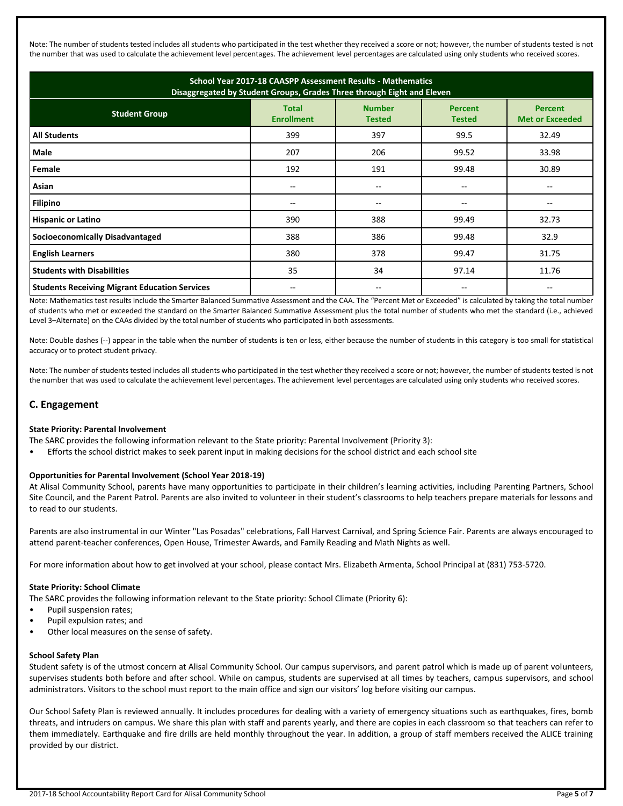Note: The number of students tested includes all students who participated in the test whether they received a score or not; however, the number of students tested is not the number that was used to calculate the achievement level percentages. The achievement level percentages are calculated using only students who received scores.

| School Year 2017-18 CAASPP Assessment Results - Mathematics<br>Disaggregated by Student Groups, Grades Three through Eight and Eleven |                                   |                                |                                 |                                          |  |
|---------------------------------------------------------------------------------------------------------------------------------------|-----------------------------------|--------------------------------|---------------------------------|------------------------------------------|--|
| <b>Student Group</b>                                                                                                                  | <b>Total</b><br><b>Enrollment</b> | <b>Number</b><br><b>Tested</b> | <b>Percent</b><br><b>Tested</b> | <b>Percent</b><br><b>Met or Exceeded</b> |  |
| <b>All Students</b>                                                                                                                   | 399                               | 397                            | 99.5                            | 32.49                                    |  |
| Male                                                                                                                                  | 207                               | 206                            | 99.52                           | 33.98                                    |  |
| Female                                                                                                                                | 192                               | 191                            | 99.48                           | 30.89                                    |  |
| Asian                                                                                                                                 | $- -$                             | --                             |                                 |                                          |  |
| <b>Filipino</b>                                                                                                                       |                                   | --                             |                                 |                                          |  |
| <b>Hispanic or Latino</b>                                                                                                             | 390                               | 388                            | 99.49                           | 32.73                                    |  |
| <b>Socioeconomically Disadvantaged</b>                                                                                                | 388                               | 386                            | 99.48                           | 32.9                                     |  |
| <b>English Learners</b>                                                                                                               | 380                               | 378                            | 99.47                           | 31.75                                    |  |
| <b>Students with Disabilities</b>                                                                                                     | 35                                | 34                             | 97.14                           | 11.76                                    |  |
| <b>Students Receiving Migrant Education Services</b>                                                                                  |                                   | --                             | --                              |                                          |  |

Note: Mathematics test results include the Smarter Balanced Summative Assessment and the CAA. The "Percent Met or Exceeded" is calculated by taking the total number of students who met or exceeded the standard on the Smarter Balanced Summative Assessment plus the total number of students who met the standard (i.e., achieved Level 3–Alternate) on the CAAs divided by the total number of students who participated in both assessments.

Note: Double dashes (--) appear in the table when the number of students is ten or less, either because the number of students in this category is too small for statistical accuracy or to protect student privacy.

Note: The number of students tested includes all students who participated in the test whether they received a score or not; however, the number of students tested is not the number that was used to calculate the achievement level percentages. The achievement level percentages are calculated using only students who received scores.

## **C. Engagement**

## **State Priority: Parental Involvement**

The SARC provides the following information relevant to the State priority: Parental Involvement (Priority 3):

• Efforts the school district makes to seek parent input in making decisions for the school district and each school site

## **Opportunities for Parental Involvement (School Year 2018-19)**

At Alisal Community School, parents have many opportunities to participate in their children's learning activities, including Parenting Partners, School Site Council, and the Parent Patrol. Parents are also invited to volunteer in their student's classrooms to help teachers prepare materials for lessons and to read to our students.

Parents are also instrumental in our Winter "Las Posadas" celebrations, Fall Harvest Carnival, and Spring Science Fair. Parents are always encouraged to attend parent-teacher conferences, Open House, Trimester Awards, and Family Reading and Math Nights as well.

For more information about how to get involved at your school, please contact Mrs. Elizabeth Armenta, School Principal at (831) 753-5720.

#### **State Priority: School Climate**

The SARC provides the following information relevant to the State priority: School Climate (Priority 6):

- Pupil suspension rates;
- Pupil expulsion rates; and
- Other local measures on the sense of safety.

#### **School Safety Plan**

Student safety is of the utmost concern at Alisal Community School. Our campus supervisors, and parent patrol which is made up of parent volunteers, supervises students both before and after school. While on campus, students are supervised at all times by teachers, campus supervisors, and school administrators. Visitors to the school must report to the main office and sign our visitors' log before visiting our campus.

Our School Safety Plan is reviewed annually. It includes procedures for dealing with a variety of emergency situations such as earthquakes, fires, bomb threats, and intruders on campus. We share this plan with staff and parents yearly, and there are copies in each classroom so that teachers can refer to them immediately. Earthquake and fire drills are held monthly throughout the year. In addition, a group of staff members received the ALICE training provided by our district.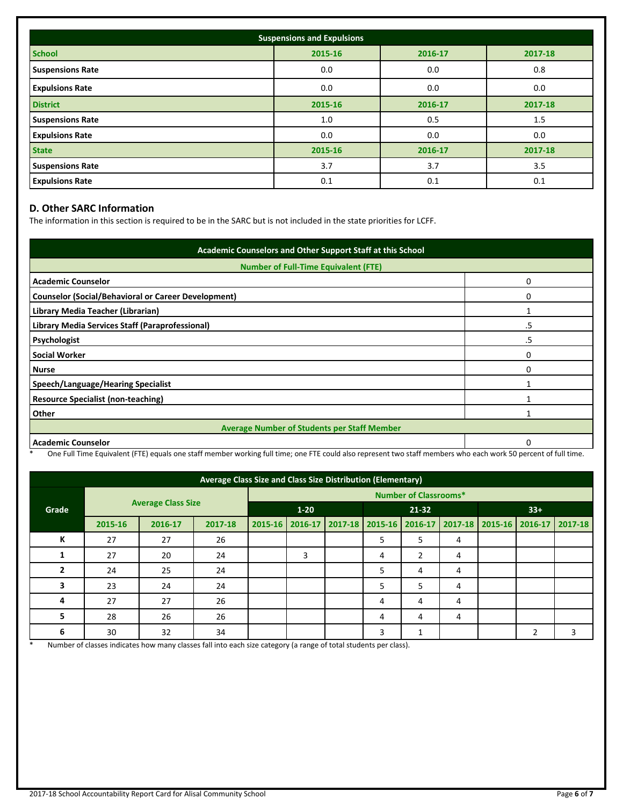| <b>Suspensions and Expulsions</b> |         |         |         |  |  |
|-----------------------------------|---------|---------|---------|--|--|
| <b>School</b>                     | 2015-16 | 2016-17 | 2017-18 |  |  |
| <b>Suspensions Rate</b>           | 0.0     | 0.0     | 0.8     |  |  |
| <b>Expulsions Rate</b>            | 0.0     | 0.0     | 0.0     |  |  |
| <b>District</b>                   | 2015-16 | 2016-17 | 2017-18 |  |  |
| <b>Suspensions Rate</b>           | 1.0     | 0.5     | 1.5     |  |  |
| <b>Expulsions Rate</b>            | 0.0     | 0.0     | 0.0     |  |  |
| <b>State</b>                      | 2015-16 | 2016-17 | 2017-18 |  |  |
| <b>Suspensions Rate</b>           | 3.7     | 3.7     | 3.5     |  |  |
| <b>Expulsions Rate</b>            | 0.1     | 0.1     | 0.1     |  |  |

## **D. Other SARC Information**

The information in this section is required to be in the SARC but is not included in the state priorities for LCFF.

| Academic Counselors and Other Support Staff at this School |    |  |  |  |
|------------------------------------------------------------|----|--|--|--|
| <b>Number of Full-Time Equivalent (FTE)</b>                |    |  |  |  |
| <b>Academic Counselor</b>                                  | 0  |  |  |  |
| <b>Counselor (Social/Behavioral or Career Development)</b> | ი  |  |  |  |
| Library Media Teacher (Librarian)                          |    |  |  |  |
| Library Media Services Staff (Paraprofessional)            | .5 |  |  |  |
| Psychologist                                               | .5 |  |  |  |
| <b>Social Worker</b>                                       | ი  |  |  |  |
| <b>Nurse</b>                                               | ი  |  |  |  |
| Speech/Language/Hearing Specialist                         |    |  |  |  |
| <b>Resource Specialist (non-teaching)</b>                  |    |  |  |  |
| Other                                                      |    |  |  |  |
| <b>Average Number of Students per Staff Member</b>         |    |  |  |  |
| <b>Academic Counselor</b>                                  |    |  |  |  |

\* One Full Time Equivalent (FTE) equals one staff member working full time; one FTE could also represent two staff members who each work 50 percent of full time.

| Average Class Size and Class Size Distribution (Elementary) |                           |         |         |                              |   |  |                                                                         |   |   |       |  |   |
|-------------------------------------------------------------|---------------------------|---------|---------|------------------------------|---|--|-------------------------------------------------------------------------|---|---|-------|--|---|
|                                                             | <b>Average Class Size</b> |         |         | <b>Number of Classrooms*</b> |   |  |                                                                         |   |   |       |  |   |
| Grade                                                       |                           |         |         | $1 - 20$                     |   |  | $21 - 32$                                                               |   |   | $33+$ |  |   |
|                                                             | 2015-16                   | 2016-17 | 2017-18 |                              |   |  | 2015-16 2016-17 2017-18 2015-16 2016-17 2017-18 2015-16 2016-17 2017-18 |   |   |       |  |   |
| К                                                           | 27                        | 27      | 26      |                              |   |  | 5                                                                       | 5 | 4 |       |  |   |
|                                                             | 27                        | 20      | 24      |                              | 3 |  | 4                                                                       | 2 | 4 |       |  |   |
|                                                             | 24                        | 25      | 24      |                              |   |  | 5                                                                       | 4 | 4 |       |  |   |
| з                                                           | 23                        | 24      | 24      |                              |   |  | 5                                                                       | 5 | 4 |       |  |   |
| 4                                                           | 27                        | 27      | 26      |                              |   |  | 4                                                                       | 4 | 4 |       |  |   |
| 5                                                           | 28                        | 26      | 26      |                              |   |  | 4                                                                       | 4 | 4 |       |  |   |
| 6                                                           | 30                        | 32      | 34      |                              |   |  | 3                                                                       |   |   |       |  | 3 |

\* Number of classes indicates how many classes fall into each size category (a range of total students per class).